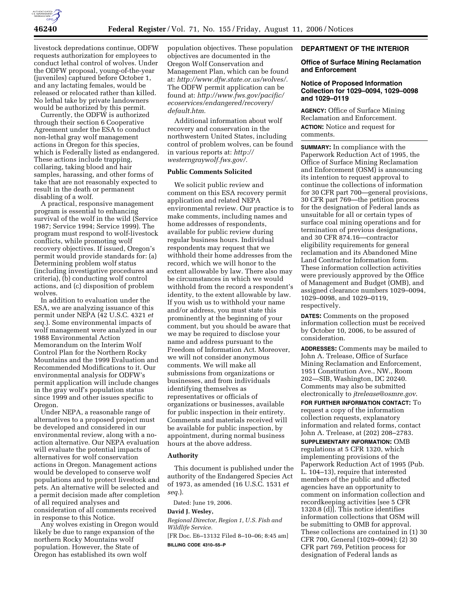

livestock depredations continue, ODFW requests authorization for employees to conduct lethal control of wolves. Under the ODFW proposal, young-of-the-year (juveniles) captured before October 1, and any lactating females, would be released or relocated rather than killed. No lethal take by private landowners would be authorized by this permit.

Currently, the ODFW is authorized through their section 6 Cooperative Agreement under the ESA to conduct non-lethal gray wolf management actions in Oregon for this species, which is Federally listed as endangered. These actions include trapping, collaring, taking blood and hair samples, harassing, and other forms of take that are not reasonably expected to result in the death or permanent disabling of a wolf.

A practical, responsive management program is essential to enhancing survival of the wolf in the wild (Service 1987; Service 1994; Service 1999). The program must respond to wolf-livestock conflicts, while promoting wolf recovery objectives. If issued, Oregon's permit would provide standards for: (a) Determining problem wolf status (including investigative procedures and criteria), (b) conducting wolf control actions, and (c) disposition of problem wolves.

In addition to evaluation under the ESA, we are analyzing issuance of this permit under NEPA (42 U.S.C. 4321 *et seq.*). Some environmental impacts of wolf management were analyzed in our 1988 Environmental Action Memorandum on the Interim Wolf Control Plan for the Northern Rocky Mountains and the 1999 Evaluation and Recommended Modifications to it. Our environmental analysis for ODFW's permit application will include changes in the gray wolf's population status since 1999 and other issues specific to Oregon.

Under NEPA, a reasonable range of alternatives to a proposed project must be developed and considered in our environmental review, along with a noaction alternative. Our NEPA evaluation will evaluate the potential impacts of alternatives for wolf conservation actions in Oregon. Management actions would be developed to conserve wolf populations and to protect livestock and pets. An alternative will be selected and a permit decision made after completion of all required analyses and consideration of all comments received in response to this Notice.

Any wolves existing in Oregon would likely be due to range expansion of the northern Rocky Mountains wolf population. However, the State of Oregon has established its own wolf

population objectives. These population objectives are documented in the Oregon Wolf Conservation and Management Plan, which can be found at: *http://www.dfw.state.or.us/wolves/.*  The ODFW permit application can be found at: *http://www.fws.gov/pacific/ ecoservices/endangered/recovery/ default.htm.* 

Additional information about wolf recovery and conservation in the northwestern United States, including control of problem wolves, can be found in various reports at: *http:// westerngraywolf.fws.gov/.* 

# **Public Comments Solicited**

We solicit public review and comment on this ESA recovery permit application and related NEPA environmental review. Our practice is to make comments, including names and home addresses of respondents, available for public review during regular business hours. Individual respondents may request that we withhold their home addresses from the record, which we will honor to the extent allowable by law. There also may be circumstances in which we would withhold from the record a respondent's identity, to the extent allowable by law. If you wish us to withhold your name and/or address, you must state this prominently at the beginning of your comment, but you should be aware that we may be required to disclose your name and address pursuant to the Freedom of Information Act. Moreover, we will not consider anonymous comments. We will make all submissions from organizations or businesses, and from individuals identifying themselves as representatives or officials of organizations or businesses, available for public inspection in their entirety. Comments and materials received will be available for public inspection, by appointment, during normal business hours at the above address.

### **Authority**

This document is published under the authority of the Endangered Species Act of 1973, as amended (16 U.S.C. 1531 *et seq.*).

Dated: June 19, 2006.

## **David J. Wesley,**

*Regional Director, Region 1, U.S. Fish and Wildlife Service.* 

[FR Doc. E6–13132 Filed 8–10–06; 8:45 am] **BILLING CODE 4310–55–P** 

## **DEPARTMENT OF THE INTERIOR**

## **Office of Surface Mining Reclamation and Enforcement**

## **Notice of Proposed Information Collection for 1029–0094, 1029–0098 and 1029–0119**

**AGENCY:** Office of Surface Mining Reclamation and Enforcement. **ACTION:** Notice and request for comments.

**SUMMARY:** In compliance with the Paperwork Reduction Act of 1995, the Office of Surface Mining Reclamation and Enforcement (OSM) is announcing its intention to request approval to continue the collections of information for 30 CFR part 700—general provisions, 30 CFR part 769—the petition process for the designation of Federal lands as unsuitable for all or certain types of surface coal mining operations and for termination of previous designations, and 30 CFR 874.16—contractor eligibility requirements for general reclamation and its Abandoned Mine Land Contractor Information form. These information collection activities were previously approved by the Office of Management and Budget (OMB), and assigned clearance numbers 1029–0094, 1029–0098, and 1029–0119, respectively.

**DATES:** Comments on the proposed information collection must be received by October 10, 2006, to be assured of consideration.

**ADDRESSES:** Comments may be mailed to John A. Trelease, Office of Surface Mining Reclamation and Enforcement, 1951 Constitution Ave., NW., Room 202—SIB, Washington, DC 20240. Comments may also be submitted electronically to *jtrelease@osmre.gov*.

**FOR FURTHER INFORMATION CONTACT:** To request a copy of the information collection requests, explanatory information and related forms, contact John A. Trelease, at (202) 208–2783.

**SUPPLEMENTARY INFORMATION:** OMB regulations at 5 CFR 1320, which implementing provisions of the Paperwork Reduction Act of 1995 (Pub. L. 104–13), require that interested members of the public and affected agencies have an opportunity to comment on information collection and recordkeeping activities [see 5 CFR 1320.8 (d)]. This notice identifies information collections that OSM will be submitting to OMB for approval. These collections are contained in (1) 30 CFR 700, General (1029–0094); (2) 30 CFR part 769, Petition process for designation of Federal lands as